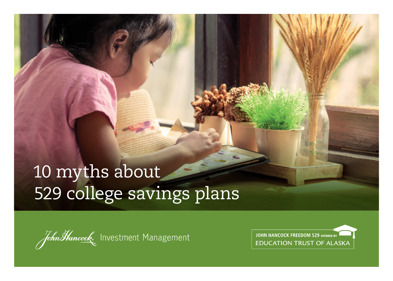## 10 myths about 529 college savings plans

John Hancock Investment Management

**JOHN HANCOCK FREEDOM 529 OFFERED BY EDUCATION TRUST OF ALASKA**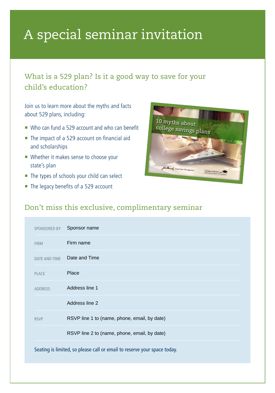## A special seminar invitation

## What is a 529 plan? Is it a good way to save for your child's education?

Join us to learn more about the myths and facts about 529 plans, including:

- Who can fund a 529 account and who can benefit
- The impact of a 529 account on financial aid and scholarships
- **Whether it makes sense to choose your** state's plan
- The types of schools your child can select
- The legacy benefits of a 529 account



## Don't miss this exclusive, complimentary seminar

| SPONSORED BY                                                             | Sponsor name                                 |
|--------------------------------------------------------------------------|----------------------------------------------|
| <b>FIRM</b>                                                              | Firm name                                    |
| <b>DATE AND TIME</b>                                                     | Date and Time                                |
| <b>PLACE</b>                                                             | Place                                        |
| <b>ADDRESS</b>                                                           | Address line 1                               |
|                                                                          | Address line 2                               |
| <b>RSVP</b>                                                              | RSVP line 1 to (name, phone, email, by date) |
|                                                                          | RSVP line 2 to (name, phone, email, by date) |
| Seating is limited, so please call or email to reserve your space today. |                                              |